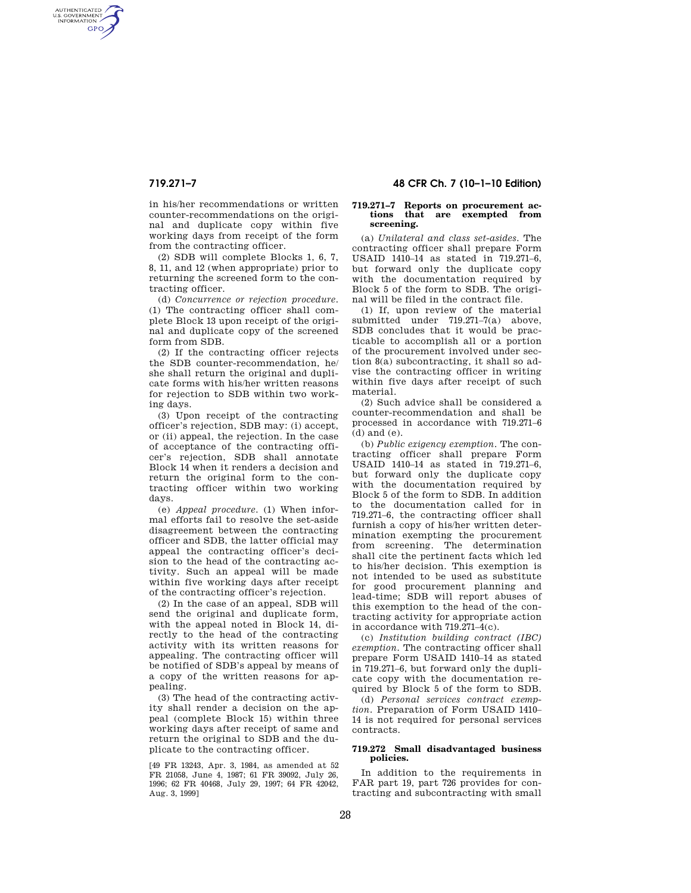AUTHENTICATED<br>U.S. GOVERNMENT<br>INFORMATION **GPO** 

> in his/her recommendations or written counter-recommendations on the original and duplicate copy within five working days from receipt of the form from the contracting officer.

> (2) SDB will complete Blocks 1, 6, 7, 8, 11, and 12 (when appropriate) prior to returning the screened form to the contracting officer.

> (d) *Concurrence or rejection procedure.*  (1) The contracting officer shall complete Block 13 upon receipt of the original and duplicate copy of the screened form from SDB.

> (2) If the contracting officer rejects the SDB counter-recommendation, he/ she shall return the original and duplicate forms with his/her written reasons for rejection to SDB within two working days.

> (3) Upon receipt of the contracting officer's rejection, SDB may: (i) accept, or (ii) appeal, the rejection. In the case of acceptance of the contracting officer's rejection, SDB shall annotate Block 14 when it renders a decision and return the original form to the contracting officer within two working days.

> (e) *Appeal procedure.* (1) When informal efforts fail to resolve the set-aside disagreement between the contracting officer and SDB, the latter official may appeal the contracting officer's decision to the head of the contracting activity. Such an appeal will be made within five working days after receipt of the contracting officer's rejection.

> (2) In the case of an appeal, SDB will send the original and duplicate form, with the appeal noted in Block 14, directly to the head of the contracting activity with its written reasons for appealing. The contracting officer will be notified of SDB's appeal by means of a copy of the written reasons for appealing.

> (3) The head of the contracting activity shall render a decision on the appeal (complete Block 15) within three working days after receipt of same and return the original to SDB and the duplicate to the contracting officer.

> [49 FR 13243, Apr. 3, 1984, as amended at 52 FR 21058, June 4, 1987; 61 FR 39092, July 26, 1996; 62 FR 40468, July 29, 1997; 64 FR 42042, Aug. 3, 1999]

# **719.271–7 48 CFR Ch. 7 (10–1–10 Edition)**

### **719.271–7 Reports on procurement actions that are exempted from screening.**

(a) *Unilateral and class set-asides.* The contracting officer shall prepare Form USAID 1410–14 as stated in 719.271–6, but forward only the duplicate copy with the documentation required by Block 5 of the form to SDB. The original will be filed in the contract file.

(1) If, upon review of the material submitted under 719.271–7(a) above, SDB concludes that it would be practicable to accomplish all or a portion of the procurement involved under section 8(a) subcontracting, it shall so advise the contracting officer in writing within five days after receipt of such material.

(2) Such advice shall be considered a counter-recommendation and shall be processed in accordance with 719.271–6 (d) and (e).

(b) *Public exigency exemption.* The contracting officer shall prepare Form USAID 1410–14 as stated in 719.271–6, but forward only the duplicate copy with the documentation required by Block 5 of the form to SDB. In addition to the documentation called for in 719.271–6, the contracting officer shall furnish a copy of his/her written determination exempting the procurement from screening. The determination shall cite the pertinent facts which led to his/her decision. This exemption is not intended to be used as substitute for good procurement planning and lead-time; SDB will report abuses of this exemption to the head of the contracting activity for appropriate action in accordance with 719.271–4(c).

(c) *Institution building contract (IBC) exemption.* The contracting officer shall prepare Form USAID 1410–14 as stated in 719.271–6, but forward only the duplicate copy with the documentation required by Block 5 of the form to SDB.

(d) *Personal services contract exemption.* Preparation of Form USAID 1410– 14 is not required for personal services contracts.

## **719.272 Small disadvantaged business policies.**

In addition to the requirements in FAR part 19, part 726 provides for contracting and subcontracting with small